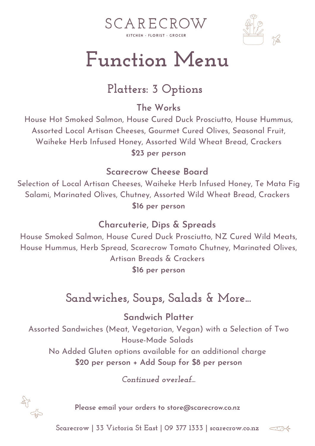



# **Function Menu**

## **Platters: 3 Options**

**The Works**

House Hot Smoked Salmon, House Cured Duck Prosciutto, House Hummus, Assorted Local Artisan Cheeses, Gourmet Cured Olives, Seasonal Fruit, Waiheke Herb Infused Honey, Assorted Wild Wheat Bread, Crackers **\$23 per person**

#### **Scarecrow Cheese Board**

Selection of Local Artisan Cheeses, Waiheke Herb Infused Honey, Te Mata Fig Salami, Marinated Olives, Chutney, Assorted Wild Wheat Bread, Crackers **\$16 per person**

#### **Charcuterie, Dips & Spreads**

House Smoked Salmon, House Cured Duck Prosciutto, NZ Cured Wild Meats, House Hummus, Herb Spread, Scarecrow Tomato Chutney, Marinated Olives, Artisan Breads & Crackers **\$16 per person**

## **Sandwiches, Soups, Salads & More...**

**Sandwich Platter** Assorted Sandwiches (Meat, Vegetarian, Vegan) with a Selection of Two House-Made Salads No Added Gluten options available for an additional charge **\$20 per person + Add Soup for \$8 per person**

*Continued overleaf...*



**Please email your orders to store@scarecrow.co.nz**

**Scarecrow | 33 Victoria St East | 09 377 1333 | scarecrow.co.nz**